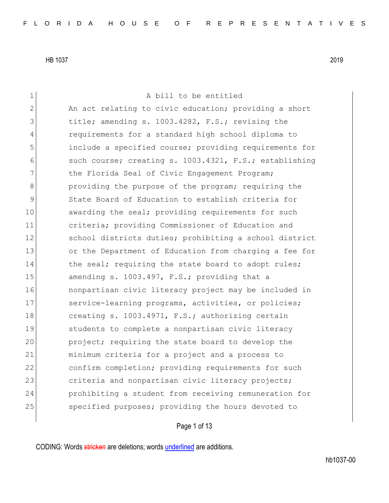1 A bill to be entitled 2 An act relating to civic education; providing a short 3 title; amending s. 1003.4282, F.S.; revising the 4 requirements for a standard high school diploma to 5 include a specified course; providing requirements for 6 such course; creating s. 1003.4321, F.S.; establishing 7 The Florida Seal of Civic Engagement Program; 8 **b** providing the purpose of the program; requiring the 9 State Board of Education to establish criteria for 10 awarding the seal; providing requirements for such 11 criteria; providing Commissioner of Education and 12 School districts duties; prohibiting a school district 13 or the Department of Education from charging a fee for 14 the seal; requiring the state board to adopt rules; 15 amending s. 1003.497, F.S.; providing that a 16 **nonpartisan civic literacy project may be included in** 17 Service-learning programs, activities, or policies; 18 creating s. 1003.4971, F.S.; authorizing certain 19 Students to complete a nonpartisan civic literacy 20 project; requiring the state board to develop the 21 minimum criteria for a project and a process to 22 confirm completion; providing requirements for such 23 criteria and nonpartisan civic literacy projects; 24 prohibiting a student from receiving remuneration for 25 Specified purposes; providing the hours devoted to

Page 1 of 13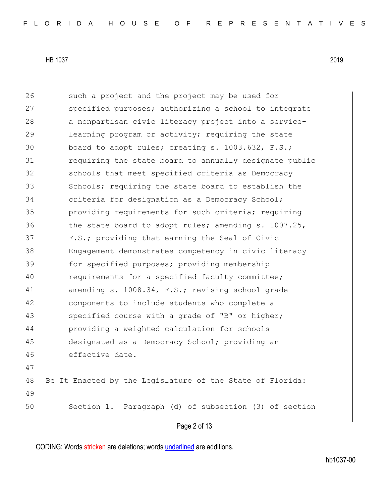Page 2 of 13 26 such a project and the project may be used for 27 Specified purposes; authorizing a school to integrate 28 a nonpartisan civic literacy project into a service-29 learning program or activity; requiring the state 30 board to adopt rules; creating s. 1003.632, F.S.; 31 requiring the state board to annually designate public 32 schools that meet specified criteria as Democracy 33 Schools; requiring the state board to establish the 34 criteria for designation as a Democracy School; 35 providing requirements for such criteria; requiring 36 the state board to adopt rules; amending s. 1007.25, 37 F.S.; providing that earning the Seal of Civic 38 Engagement demonstrates competency in civic literacy 39 for specified purposes; providing membership 40 requirements for a specified faculty committee; 41 amending s. 1008.34, F.S.; revising school grade 42 components to include students who complete a 43 specified course with a grade of "B" or higher; 44 providing a weighted calculation for schools 45 designated as a Democracy School; providing an 46 effective date. 47 48 Be It Enacted by the Legislature of the State of Florida: 49 50 Section 1. Paragraph (d) of subsection (3) of section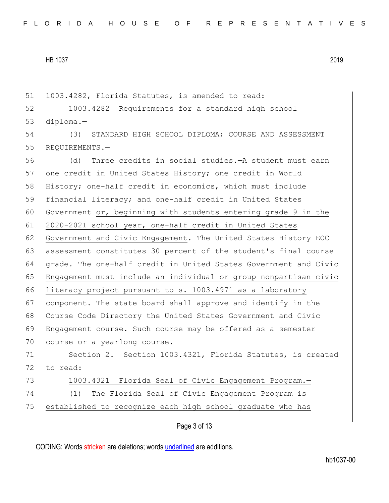51 1003.4282, Florida Statutes, is amended to read:

52 1003.4282 Requirements for a standard high school 53 diploma.—

54 (3) STANDARD HIGH SCHOOL DIPLOMA; COURSE AND ASSESSMENT 55 REQUIREMENTS.-

56 (d) Three credits in social studies.—A student must earn 57 one credit in United States History; one credit in World 58 History; one-half credit in economics, which must include 59 financial literacy; and one-half credit in United States 60 Government or, beginning with students entering grade 9 in the 61 2020-2021 school year, one-half credit in United States 62 Government and Civic Engagement. The United States History EOC 63 assessment constitutes 30 percent of the student's final course 64 grade. The one-half credit in United States Government and Civic 65 Engagement must include an individual or group nonpartisan civic 66 literacy project pursuant to s. 1003.4971 as a laboratory 67 component. The state board shall approve and identify in the 68 Course Code Directory the United States Government and Civic 69 Engagement course. Such course may be offered as a semester 70 course or a yearlong course. 71 Section 2. Section 1003.4321, Florida Statutes, is created 72 to read: 73 1003.4321 Florida Seal of Civic Engagement Program. 74 (1) The Florida Seal of Civic Engagement Program is 75 established to recognize each high school graduate who has

Page 3 of 13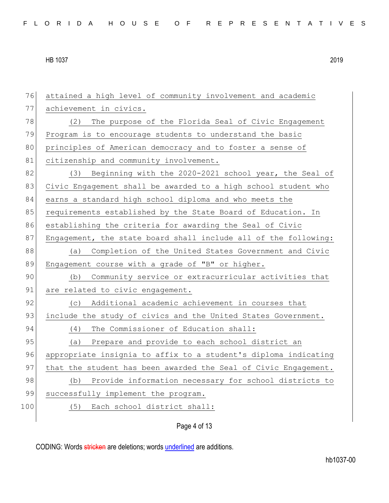76 attained a high level of community involvement and academic 77 achievement in civics. 78 (2) The purpose of the Florida Seal of Civic Engagement 79 Program is to encourage students to understand the basic 80 principles of American democracy and to foster a sense of 81 citizenship and community involvement. 82 (3) Beginning with the 2020-2021 school year, the Seal of 83 Civic Engagement shall be awarded to a high school student who 84 earns a standard high school diploma and who meets the 85 requirements established by the State Board of Education. In 86 establishing the criteria for awarding the Seal of Civic 87 Engagement, the state board shall include all of the following: 88 (a) Completion of the United States Government and Civic 89 Engagement course with a grade of "B" or higher. 90 (b) Community service or extracurricular activities that 91 are related to civic engagement. 92 (c) Additional academic achievement in courses that 93 include the study of civics and the United States Government. 94 (4) The Commissioner of Education shall: 95 (a) Prepare and provide to each school district an 96 appropriate insignia to affix to a student's diploma indicating 97 that the student has been awarded the Seal of Civic Engagement. 98 (b) Provide information necessary for school districts to 99 successfully implement the program. 100 (5) Each school district shall:

# Page 4 of 13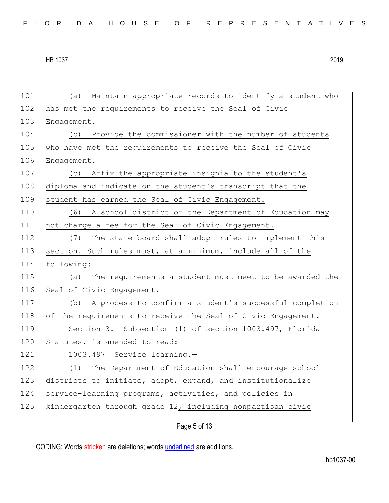101 (a) Maintain appropriate records to identify a student who 102 has met the requirements to receive the Seal of Civic 103 Engagement. 104 (b) Provide the commissioner with the number of students 105 who have met the requirements to receive the Seal of Civic 106 Engagement. 107 (c) Affix the appropriate insignia to the student's 108 diploma and indicate on the student's transcript that the 109 student has earned the Seal of Civic Engagement. 110 (6) A school district or the Department of Education may 111 not charge a fee for the Seal of Civic Engagement. 112 (7) The state board shall adopt rules to implement this 113 section. Such rules must, at a minimum, include all of the 114 following: 115 (a) The requirements a student must meet to be awarded the 116 Seal of Civic Engagement. 117 (b) A process to confirm a student's successful completion 118 of the requirements to receive the Seal of Civic Engagement. 119 Section 3. Subsection (1) of section 1003.497, Florida 120 Statutes, is amended to read: 121 1003.497 Service learning.-122 (1) The Department of Education shall encourage school 123 districts to initiate, adopt, expand, and institutionalize 124 service-learning programs, activities, and policies in 125 kindergarten through grade 12, including nonpartisan civic

Page 5 of 13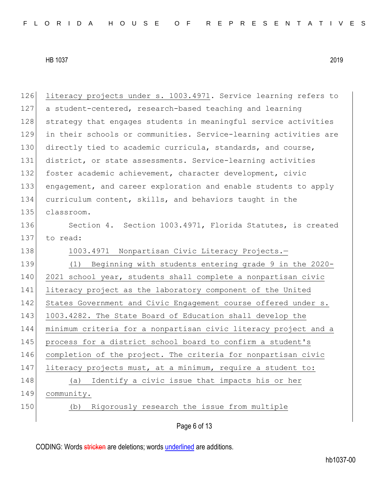126 literacy projects under s. 1003.4971. Service learning refers to 127 a student-centered, research-based teaching and learning 128 strategy that engages students in meaningful service activities 129 in their schools or communities. Service-learning activities are 130 directly tied to academic curricula, standards, and course, 131 district, or state assessments. Service-learning activities 132 foster academic achievement, character development, civic 133 engagement, and career exploration and enable students to apply 134 curriculum content, skills, and behaviors taught in the 135 classroom. 136 Section 4. Section 1003.4971, Florida Statutes, is created 137 to read: 138 1003.4971 Nonpartisan Civic Literacy Projects. 139 (1) Beginning with students entering grade 9 in the 2020- 140 2021 school year, students shall complete a nonpartisan civic 141 literacy project as the laboratory component of the United 142 States Government and Civic Engagement course offered under s. 143 1003.4282. The State Board of Education shall develop the 144 minimum criteria for a nonpartisan civic literacy project and a 145 process for a district school board to confirm a student's 146 completion of the project. The criteria for nonpartisan civic 147 literacy projects must, at a minimum, require a student to: 148 (a) Identify a civic issue that impacts his or her 149 community. 150 (b) Rigorously research the issue from multiple

Page 6 of 13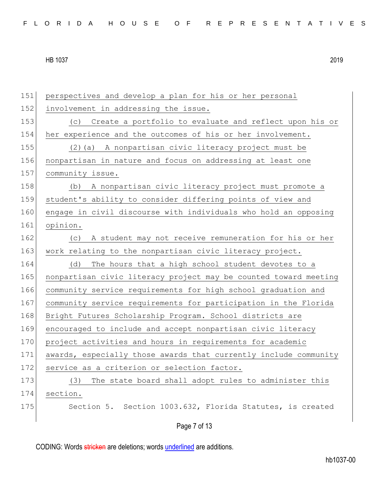Page 7 of 13 151 perspectives and develop a plan for his or her personal 152 involvement in addressing the issue. 153 (c) Create a portfolio to evaluate and reflect upon his or 154 her experience and the outcomes of his or her involvement. 155 (2)(a) A nonpartisan civic literacy project must be 156 nonpartisan in nature and focus on addressing at least one 157 community issue. 158 (b) A nonpartisan civic literacy project must promote a 159 student's ability to consider differing points of view and 160 engage in civil discourse with individuals who hold an opposing 161 opinion. 162 (c) A student may not receive remuneration for his or her 163 work relating to the nonpartisan civic literacy project. 164 (d) The hours that a high school student devotes to a 165 nonpartisan civic literacy project may be counted toward meeting 166 community service requirements for high school graduation and 167 community service requirements for participation in the Florida 168 Bright Futures Scholarship Program. School districts are 169 encouraged to include and accept nonpartisan civic literacy 170 project activities and hours in requirements for academic 171 awards, especially those awards that currently include community 172 service as a criterion or selection factor. 173 (3) The state board shall adopt rules to administer this 174 section. 175 Section 5. Section 1003.632, Florida Statutes, is created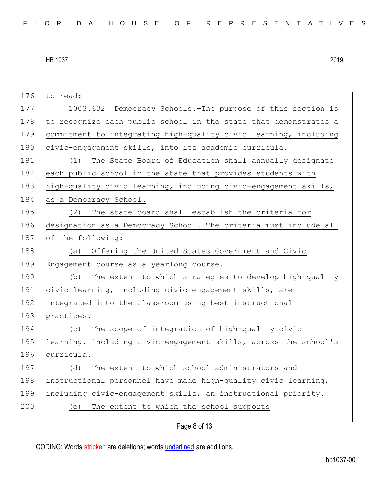| 176 | to read:                                                         |
|-----|------------------------------------------------------------------|
| 177 | 1003.632 Democracy Schools. The purpose of this section is       |
| 178 | to recognize each public school in the state that demonstrates a |
| 179 | commitment to integrating high-quality civic learning, including |
| 180 | civic-engagement skills, into its academic curricula.            |
| 181 | The State Board of Education shall annually designate<br>(1)     |
| 182 | each public school in the state that provides students with      |
| 183 | high-quality civic learning, including civic-engagement skills,  |
| 184 | as a Democracy School.                                           |
| 185 | (2) The state board shall establish the criteria for             |
| 186 | designation as a Democracy School. The criteria must include all |
| 187 | of the following:                                                |
| 188 | Offering the United States Government and Civic<br>(a)           |
| 189 | Engagement course as a yearlong course.                          |
| 190 | The extent to which strategies to develop high-quality<br>(b)    |
| 191 | civic learning, including civic-engagement skills, are           |
| 192 | integrated into the classroom using best instructional           |
| 193 | practices.                                                       |
| 194 | The scope of integration of high-quality civic<br>(C)            |
| 195 | learning, including civic-engagement skills, across the school's |
| 196 | curricula.                                                       |
| 197 | The extent to which school administrators and<br>(d)             |
| 198 | instructional personnel have made high-quality civic learning,   |
| 199 | including civic-engagement skills, an instructional priority.    |
| 200 | The extent to which the school supports<br>(e)                   |
|     |                                                                  |

Page 8 of 13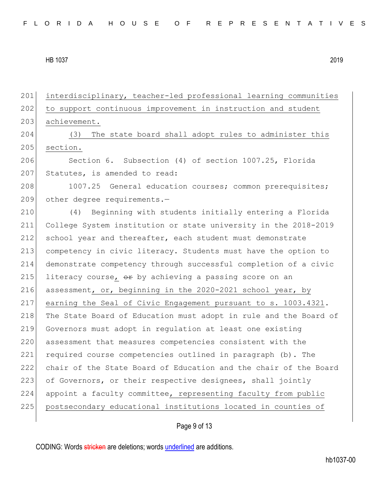201 interdisciplinary, teacher-led professional learning communities 202 to support continuous improvement in instruction and student 203 achievement. 204 (3) The state board shall adopt rules to administer this 205 section. 206 Section 6. Subsection (4) of section 1007.25, Florida 207 Statutes, is amended to read: 208 1007.25 General education courses; common prerequisites; 209 other degree requirements.-210 (4) Beginning with students initially entering a Florida 211 College System institution or state university in the 2018-2019 212 school year and thereafter, each student must demonstrate 213 competency in civic literacy. Students must have the option to 214 demonstrate competency through successful completion of a civic 215 literacy course,  $\theta$  by achieving a passing score on an 216 assessment, or, beginning in the 2020-2021 school year, by 217 earning the Seal of Civic Engagement pursuant to s. 1003.4321. 218 The State Board of Education must adopt in rule and the Board of 219 Governors must adopt in regulation at least one existing 220 assessment that measures competencies consistent with the 221 required course competencies outlined in paragraph (b). The 222 chair of the State Board of Education and the chair of the Board 223 of Governors, or their respective designees, shall jointly 224 appoint a faculty committee, representing faculty from public 225 postsecondary educational institutions located in counties of

Page 9 of 13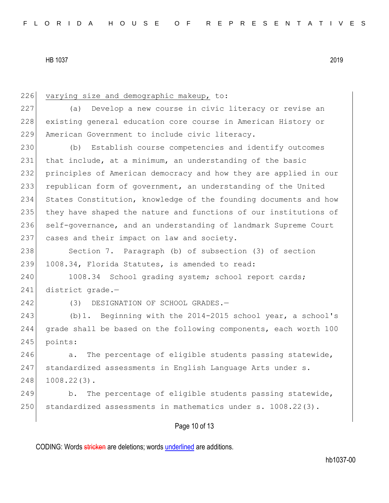226 varying size and demographic makeup, to: 227 (a) Develop a new course in civic literacy or revise an 228 existing general education core course in American History or 229 American Government to include civic literacy. 230 (b) Establish course competencies and identify outcomes 231 that include, at a minimum, an understanding of the basic 232 principles of American democracy and how they are applied in our 233 republican form of government, an understanding of the United 234 States Constitution, knowledge of the founding documents and how 235 they have shaped the nature and functions of our institutions of 236 | self-governance, and an understanding of landmark Supreme Court 237 cases and their impact on law and society. 238 Section 7. Paragraph (b) of subsection (3) of section 239 1008.34, Florida Statutes, is amended to read: 240 1008.34 School grading system; school report cards; 241 district grade.-242 (3) DESIGNATION OF SCHOOL GRADES.-243 (b)1. Beginning with the 2014-2015 school year, a school's 244 grade shall be based on the following components, each worth 100 245 points:  $246$  a. The percentage of eligible students passing statewide, 247 | standardized assessments in English Language Arts under s. 248 1008.22(3). 249 b. The percentage of eligible students passing statewide, 250 standardized assessments in mathematics under s. 1008.22(3).

## Page 10 of 13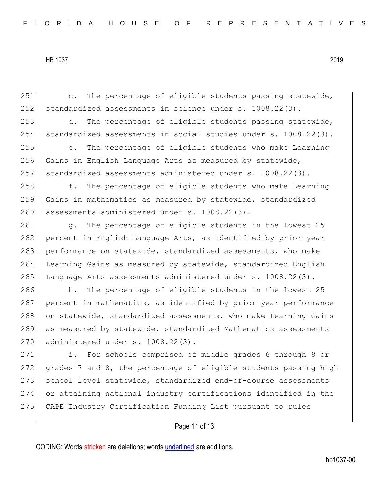251 c. The percentage of eligible students passing statewide, 252 standardized assessments in science under s. 1008.22(3). 253 d. The percentage of eligible students passing statewide, 254 standardized assessments in social studies under s. 1008.22(3). 255 e. The percentage of eligible students who make Learning 256 Gains in English Language Arts as measured by statewide, 257 standardized assessments administered under s. 1008.22(3). 258 f. The percentage of eligible students who make Learning 259 Gains in mathematics as measured by statewide, standardized 260 assessments administered under s. 1008.22(3). 261 g. The percentage of eligible students in the lowest 25 262 percent in English Language Arts, as identified by prior year 263 performance on statewide, standardized assessments, who make 264 Learning Gains as measured by statewide, standardized English 265 Language Arts assessments administered under s. 1008.22(3). 266 h. The percentage of eligible students in the lowest 25 267 percent in mathematics, as identified by prior year performance 268 on statewide, standardized assessments, who make Learning Gains 269 as measured by statewide, standardized Mathematics assessments 270 administered under s. 1008.22(3). 271 i. For schools comprised of middle grades 6 through 8 or 272 grades 7 and 8, the percentage of eligible students passing high 273 school level statewide, standardized end-of-course assessments 274 or attaining national industry certifications identified in the 275 CAPE Industry Certification Funding List pursuant to rules

## Page 11 of 13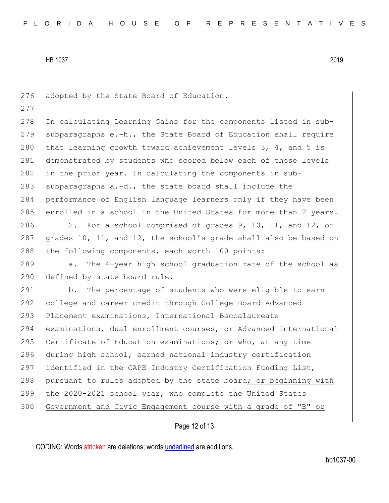276 adopted by the State Board of Education. 277 278 In calculating Learning Gains for the components listed in sub-279 subparagraphs  $e.-h.$ , the State Board of Education shall require 280 that learning growth toward achievement levels  $3, 4,$  and  $5$  is 281 demonstrated by students who scored below each of those levels 282 in the prior year. In calculating the components in sub-283 subparagraphs  $a.-d.$ , the state board shall include the 284 performance of English language learners only if they have been 285 enrolled in a school in the United States for more than 2 years. 286 2. For a school comprised of grades 9, 10, 11, and 12, or 287 grades 10, 11, and 12, the school's grade shall also be based on 288 the following components, each worth 100 points: 289 a. The 4-year high school graduation rate of the school as 290 defined by state board rule. 291 b. The percentage of students who were eligible to earn 292 college and career credit through College Board Advanced 293 Placement examinations, International Baccalaureate

294 examinations, dual enrollment courses, or Advanced International 295 Certificate of Education examinations;  $\Theta$ r who, at any time 296 during high school, earned national industry certification 297 identified in the CAPE Industry Certification Funding List, 298 pursuant to rules adopted by the state board; or beginning with 299 the 2020-2021 school year, who complete the United States 300 Government and Civic Engagement course with a grade of "B" or

### Page 12 of 13